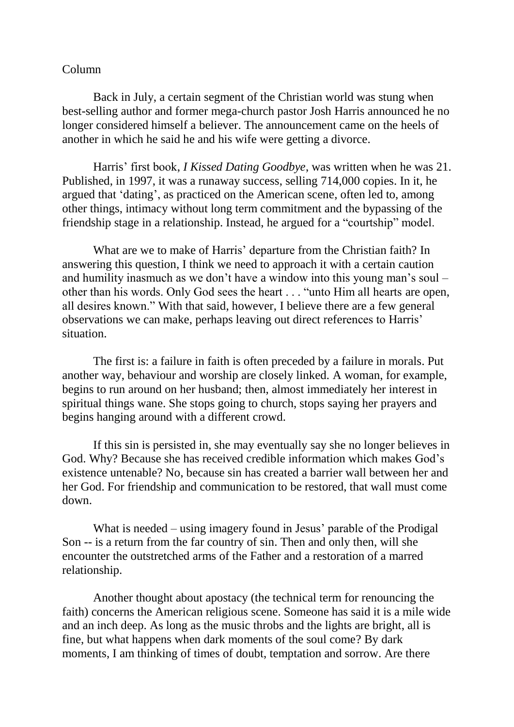## Column

Back in July, a certain segment of the Christian world was stung when best-selling author and former mega-church pastor Josh Harris announced he no longer considered himself a believer. The announcement came on the heels of another in which he said he and his wife were getting a divorce.

Harris' first book, *I Kissed Dating Goodbye*, was written when he was 21. Published, in 1997, it was a runaway success, selling 714,000 copies. In it, he argued that 'dating', as practiced on the American scene, often led to, among other things, intimacy without long term commitment and the bypassing of the friendship stage in a relationship. Instead, he argued for a "courtship" model.

What are we to make of Harris' departure from the Christian faith? In answering this question, I think we need to approach it with a certain caution and humility inasmuch as we don't have a window into this young man's soul – other than his words. Only God sees the heart . . . "unto Him all hearts are open, all desires known." With that said, however, I believe there are a few general observations we can make, perhaps leaving out direct references to Harris' situation.

The first is: a failure in faith is often preceded by a failure in morals. Put another way, behaviour and worship are closely linked. A woman, for example, begins to run around on her husband; then, almost immediately her interest in spiritual things wane. She stops going to church, stops saying her prayers and begins hanging around with a different crowd.

If this sin is persisted in, she may eventually say she no longer believes in God. Why? Because she has received credible information which makes God's existence untenable? No, because sin has created a barrier wall between her and her God. For friendship and communication to be restored, that wall must come down.

What is needed – using imagery found in Jesus' parable of the Prodigal Son -- is a return from the far country of sin. Then and only then, will she encounter the outstretched arms of the Father and a restoration of a marred relationship.

Another thought about apostacy (the technical term for renouncing the faith) concerns the American religious scene. Someone has said it is a mile wide and an inch deep. As long as the music throbs and the lights are bright, all is fine, but what happens when dark moments of the soul come? By dark moments, I am thinking of times of doubt, temptation and sorrow. Are there